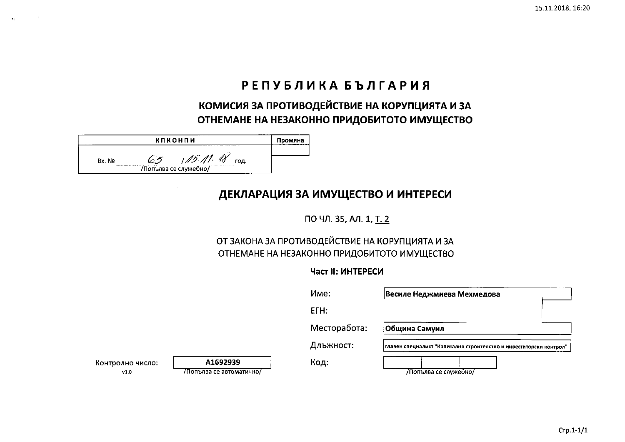# РЕПУБЛИКА БЪЛГАРИЯ

КОМИСИЯ ЗА ПРОТИВОДЕЙСТВИЕ НА КОРУПЦИЯТА И ЗА ОТНЕМАНЕ НА НЕЗАКОННО ПРИДОБИТОТО ИМУЩЕСТВО

|         | кпконпи |                       |  |
|---------|---------|-----------------------|--|
|         |         |                       |  |
| Bx. No. |         | 1/12<br>год.          |  |
|         |         | /Попълва се служебно/ |  |

## ДЕКЛАРАЦИЯ ЗА ИМУЩЕСТВО И ИНТЕРЕСИ

ПО ЧЛ. 35, АЛ. 1, Т. 2

## ОТ ЗАКОНА ЗА ПРОТИВОДЕЙСТВИЕ НА КОРУПЦИЯТА И ЗА ОТНЕМАНЕ НА НЕЗАКОННО ПРИДОБИТОТО ИМУЩЕСТВО

## Част II: ИНТЕРЕСИ

|                          |                                      | Име:         | Весиле Неджмиева Мехмедова                                         |
|--------------------------|--------------------------------------|--------------|--------------------------------------------------------------------|
|                          |                                      | ETH:         |                                                                    |
|                          |                                      | Месторабота: | Община Самуил                                                      |
|                          |                                      | Длъжност:    | главен специалист "Капитално строителство и инвеститорски контрол" |
| Контролно число:<br>v1.0 | A1692939<br>/Попълва се автоматично/ | Код:         | Лопълва се служебно/                                               |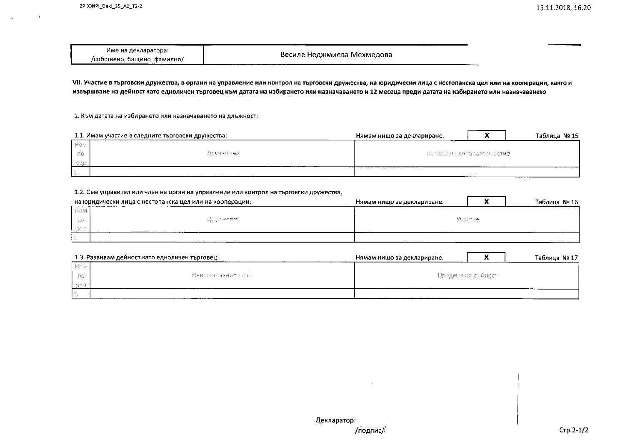| Име на декларатора:                  |                             |
|--------------------------------------|-----------------------------|
| /собствено,<br>бащино.<br>. Фамилно/ | -Весиле Неджмиева Мехмедова |

VII. Участие в търговски дружества, в органи на управление или контрол на търговски дружества, на юридически лица с нестопанска цел или на кооперации, както и извършване на дейност като едноличен търговец към датата на избирането или назначаването и 12 месеца преди датата на избирането или назначаването

1. Към датата на избирането или назначаването на длъжност:

|       | 1.1. Имам участие в следните търговски дружества: | Нямам нищо за деклариране.     |  | Таблица № 15 |
|-------|---------------------------------------------------|--------------------------------|--|--------------|
| l Hom |                                                   | - Размер на дялавото участие . |  |              |
| 36    | "Дружество"                                       |                                |  |              |
| Bes   |                                                   |                                |  |              |
| B.    |                                                   |                                |  |              |

#### 1.2. Съм управител или член на орган на управление или контрол на търговски дружества,

|      | на юридически лица с нестопанска цел или на кооперации: | Нямам нишо за деклариране. |  | Таблица № 16 |
|------|---------------------------------------------------------|----------------------------|--|--------------|
| HOM  |                                                         |                            |  |              |
| - no | Apyntecrao                                              | -Muacriste -               |  |              |
| -bez |                                                         |                            |  |              |
|      |                                                         |                            |  |              |

|          | 1.3. Развивам дейност като едноличен търговец: | Нямам нищо за деклариране. |  | Таблица № 17 |
|----------|------------------------------------------------|----------------------------|--|--------------|
| l Hass l |                                                | - Предмет на дейност-      |  |              |
| - 96     | -Намменование на £T-                           |                            |  |              |
| ne.      |                                                |                            |  |              |
|          |                                                |                            |  |              |

Декларатор:

## /подпис/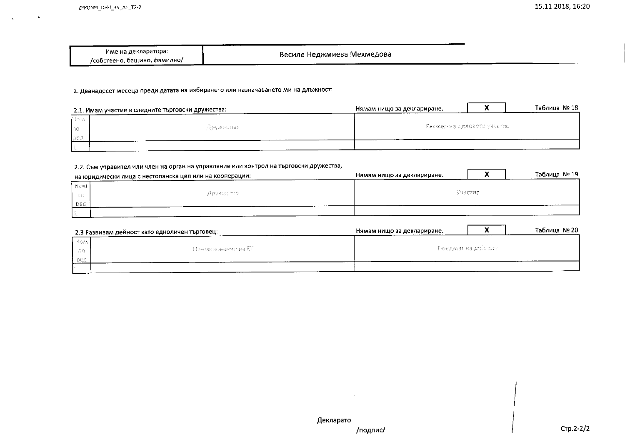| Име на декларатора:          | Весиле Неджмиева Мехмедова |
|------------------------------|----------------------------|
| /собствено, бащино. фамилно/ |                            |

### 2. Дванадесет месеца преди датата на избирането или назначаването ми на длъжност:

|      | 2.1. Имам участие в следните търговски дружества: | Нямам нищо за деклариране.     |  | Таблица № 18 |
|------|---------------------------------------------------|--------------------------------|--|--------------|
| Nord |                                                   |                                |  |              |
| l so | Дружество                                         | - Размер на дяловото участие - |  |              |
| Ser  |                                                   |                                |  |              |
|      |                                                   |                                |  |              |

### 2.2. Съм управител или член на орган на управление или контрол на търговски дружества,

|       | на юридически лица с нестопанска цел или на кооперации: | Нямам нишо за деклариране. |          | Таблица № 19 |
|-------|---------------------------------------------------------|----------------------------|----------|--------------|
| How.  |                                                         |                            |          |              |
| $-88$ | Apvikettao                                              |                            | Maecrae. |              |
| - sec |                                                         |                            |          |              |
|       |                                                         |                            |          |              |

|             | 2.3 Развивам дейност като едноличен търговец: | Нямам нищо за деклариране. |  | Таблица № 20 |
|-------------|-----------------------------------------------|----------------------------|--|--------------|
| <b>Home</b> |                                               |                            |  |              |
| - no        | - Наименование на ЕТ-                         | - Предмет на дойност-      |  |              |
| - Gez       |                                               |                            |  |              |
|             |                                               |                            |  |              |

/подпис/